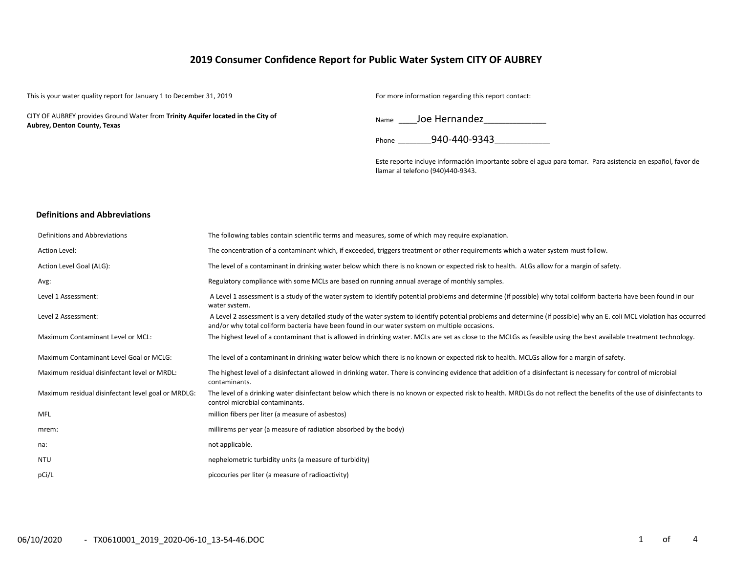# **2019 Consumer Confidence Report for Public Water System CITY OF AUBREY**

| This is your water quality report for January 1 to December 31, 2019                                             | For more information regarding this report contact:                                                                                             |
|------------------------------------------------------------------------------------------------------------------|-------------------------------------------------------------------------------------------------------------------------------------------------|
| CITY OF AUBREY provides Ground Water from Trinity Aquifer located in the City of<br>Aubrey, Denton County, Texas | Name Joe Hernandez                                                                                                                              |
|                                                                                                                  | 940-440-9343<br>Phone                                                                                                                           |
|                                                                                                                  | Este reporte incluye información importante sobre el agua para tomar. Para asistencia en español, favor de<br>Ilamar al telefono (940)440-9343. |
|                                                                                                                  |                                                                                                                                                 |

## **Definitions and Abbreviations**

| Definitions and Abbreviations                      | The following tables contain scientific terms and measures, some of which may require explanation.                                                                                                                                                                      |
|----------------------------------------------------|-------------------------------------------------------------------------------------------------------------------------------------------------------------------------------------------------------------------------------------------------------------------------|
| Action Level:                                      | The concentration of a contaminant which, if exceeded, triggers treatment or other requirements which a water system must follow.                                                                                                                                       |
| Action Level Goal (ALG):                           | The level of a contaminant in drinking water below which there is no known or expected risk to health. ALGs allow for a margin of safety.                                                                                                                               |
| Avg:                                               | Regulatory compliance with some MCLs are based on running annual average of monthly samples.                                                                                                                                                                            |
| Level 1 Assessment:                                | A Level 1 assessment is a study of the water system to identify potential problems and determine (if possible) why total coliform bacteria have been found in our<br>water system.                                                                                      |
| Level 2 Assessment:                                | A Level 2 assessment is a very detailed study of the water system to identify potential problems and determine (if possible) why an E. coli MCL violation has occurred<br>and/or why total coliform bacteria have been found in our water system on multiple occasions. |
| Maximum Contaminant Level or MCL:                  | The highest level of a contaminant that is allowed in drinking water. MCLs are set as close to the MCLGs as feasible using the best available treatment technology.                                                                                                     |
| Maximum Contaminant Level Goal or MCLG:            | The level of a contaminant in drinking water below which there is no known or expected risk to health. MCLGs allow for a margin of safety.                                                                                                                              |
| Maximum residual disinfectant level or MRDL:       | The highest level of a disinfectant allowed in drinking water. There is convincing evidence that addition of a disinfectant is necessary for control of microbial<br>contaminants.                                                                                      |
| Maximum residual disinfectant level goal or MRDLG: | The level of a drinking water disinfectant below which there is no known or expected risk to health. MRDLGs do not reflect the benefits of the use of disinfectants to<br>control microbial contaminants.                                                               |
| <b>MFL</b>                                         | million fibers per liter (a measure of asbestos)                                                                                                                                                                                                                        |
| mrem:                                              | millirems per year (a measure of radiation absorbed by the body)                                                                                                                                                                                                        |
| na:                                                | not applicable.                                                                                                                                                                                                                                                         |
| <b>NTU</b>                                         | nephelometric turbidity units (a measure of turbidity)                                                                                                                                                                                                                  |
| pCi/L                                              | picocuries per liter (a measure of radioactivity)                                                                                                                                                                                                                       |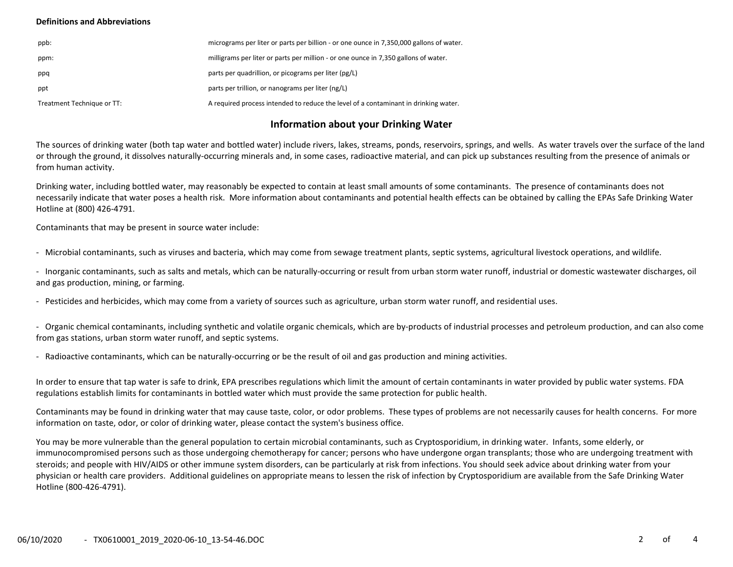### **Definitions and Abbreviations**

| ppb:                       | micrograms per liter or parts per billion - or one ounce in 7,350,000 gallons of water. |
|----------------------------|-----------------------------------------------------------------------------------------|
| ppm:                       | milligrams per liter or parts per million - or one ounce in 7,350 gallons of water.     |
| ppq                        | parts per quadrillion, or picograms per liter (pg/L)                                    |
| ppt                        | parts per trillion, or nanograms per liter (ng/L)                                       |
| Treatment Technique or TT: | A required process intended to reduce the level of a contaminant in drinking water.     |

# **Information about your Drinking Water**

The sources of drinking water (both tap water and bottled water) include rivers, lakes, streams, ponds, reservoirs, springs, and wells. As water travels over the surface of the land or through the ground, it dissolves naturally-occurring minerals and, in some cases, radioactive material, and can pick up substances resulting from the presence of animals or from human activity.

Drinking water, including bottled water, may reasonably be expected to contain at least small amounts of some contaminants. The presence of contaminants does not necessarily indicate that water poses a health risk. More information about contaminants and potential health effects can be obtained by calling the EPAs Safe Drinking Water Hotline at (800) 426-4791.

Contaminants that may be present in source water include:

- Microbial contaminants, such as viruses and bacteria, which may come from sewage treatment plants, septic systems, agricultural livestock operations, and wildlife.

- Inorganic contaminants, such as salts and metals, which can be naturally-occurring or result from urban storm water runoff, industrial or domestic wastewater discharges, oil and gas production, mining, or farming.

- Pesticides and herbicides, which may come from a variety of sources such as agriculture, urban storm water runoff, and residential uses.

- Organic chemical contaminants, including synthetic and volatile organic chemicals, which are by-products of industrial processes and petroleum production, and can also come from gas stations, urban storm water runoff, and septic systems.

- Radioactive contaminants, which can be naturally-occurring or be the result of oil and gas production and mining activities.

In order to ensure that tap water is safe to drink, EPA prescribes regulations which limit the amount of certain contaminants in water provided by public water systems. FDA regulations establish limits for contaminants in bottled water which must provide the same protection for public health.

Contaminants may be found in drinking water that may cause taste, color, or odor problems. These types of problems are not necessarily causes for health concerns. For more information on taste, odor, or color of drinking water, please contact the system's business office.

You may be more vulnerable than the general population to certain microbial contaminants, such as Cryptosporidium, in drinking water. Infants, some elderly, or immunocompromised persons such as those undergoing chemotherapy for cancer; persons who have undergone organ transplants; those who are undergoing treatment with steroids; and people with HIV/AIDS or other immune system disorders, can be particularly at risk from infections. You should seek advice about drinking water from your physician or health care providers. Additional guidelines on appropriate means to lessen the risk of infection by Cryptosporidium are available from the Safe Drinking Water Hotline (800-426-4791).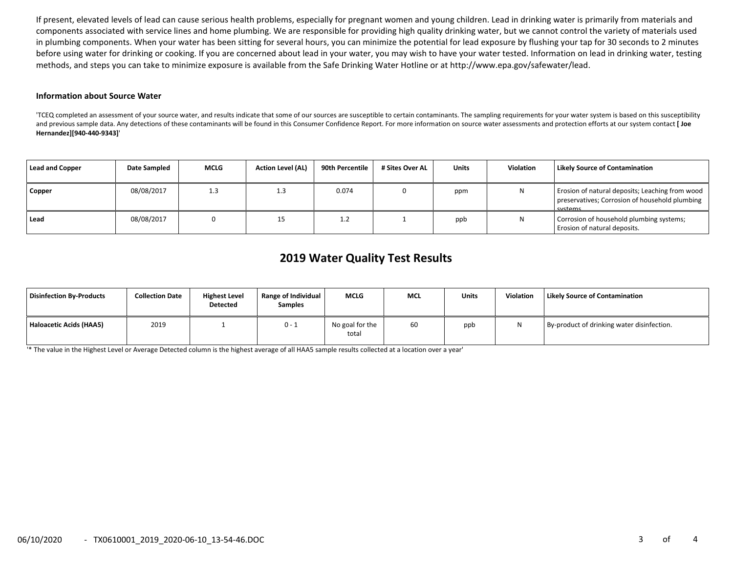If present, elevated levels of lead can cause serious health problems, especially for pregnant women and young children. Lead in drinking water is primarily from materials and components associated with service lines and home plumbing. We are responsible for providing high quality drinking water, but we cannot control the variety of materials used in plumbing components. When your water has been sitting for several hours, you can minimize the potential for lead exposure by flushing your tap for 30 seconds to 2 minutes before using water for drinking or cooking. If you are concerned about lead in your water, you may wish to have your water tested. Information on lead in drinking water, testing methods, and steps you can take to minimize exposure is available from the Safe Drinking Water Hotline or at http://www.epa.gov/safewater/lead.

#### **Information about Source Water**

'TCEQ completed an assessment of your source water, and results indicate that some of our sources are susceptible to certain contaminants. The sampling requirements for your water system is based on this susceptibility and previous sample data. Any detections of these contaminants will be found in this Consumer Confidence Report. For more information on source water assessments and protection efforts at our system contact [Joe **Hernandez][940-440-9343]**'

| Lead and Copper | Date Sampled | <b>MCLG</b> | <b>Action Level (AL)</b> | 90th Percentile | # Sites Over AL | Units | <b>Violation</b> | <b>Likely Source of Contamination</b>                                                                        |
|-----------------|--------------|-------------|--------------------------|-----------------|-----------------|-------|------------------|--------------------------------------------------------------------------------------------------------------|
| Copper          | 08/08/2017   | 1.3         | 1.3                      | 0.074           |                 | ppm   | N                | Erosion of natural deposits; Leaching from wood<br>preservatives; Corrosion of household plumbing<br>cyctame |
| Lead            | 08/08/2017   |             |                          |                 |                 | ppb   | N                | Corrosion of household plumbing systems;<br>Erosion of natural deposits.                                     |

# **2019 Water Quality Test Results**

| Disinfection By-Products | <b>Collection Date</b> | <b>Highest Level</b><br><b>Detected</b> | Range of Individual<br><b>Samples</b> | <b>MCLG</b>              | <b>MCL</b> | <b>Units</b> | Violation | Likely Source of Contamination             |
|--------------------------|------------------------|-----------------------------------------|---------------------------------------|--------------------------|------------|--------------|-----------|--------------------------------------------|
| Haloacetic Acids (HAA5)  | 2019                   |                                         | $0 - 1$                               | No goal for the<br>total | 60         | ppb          |           | By-product of drinking water disinfection. |

'\* The value in the Highest Level or Average Detected column is the highest average of all HAA5 sample results collected at a location over a year'